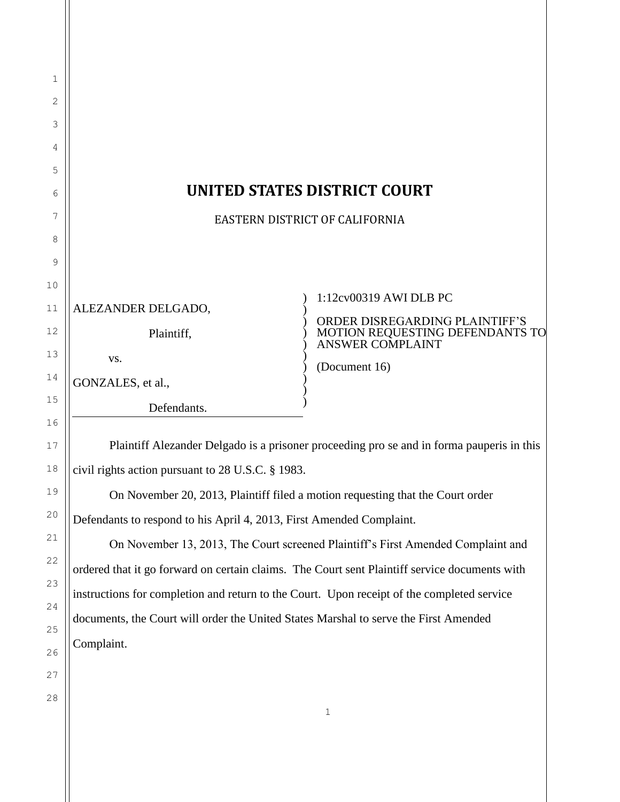| 1        |                                                                                               |                                                     |  |
|----------|-----------------------------------------------------------------------------------------------|-----------------------------------------------------|--|
| 2        |                                                                                               |                                                     |  |
| 3        |                                                                                               |                                                     |  |
| 4        |                                                                                               |                                                     |  |
| 5        |                                                                                               |                                                     |  |
| 6        | <b>UNITED STATES DISTRICT COURT</b>                                                           |                                                     |  |
| 7        | EASTERN DISTRICT OF CALIFORNIA                                                                |                                                     |  |
| 8        |                                                                                               |                                                     |  |
| 9        |                                                                                               |                                                     |  |
| 10       |                                                                                               | 1:12cv00319 AWI DLB PC                              |  |
| 11       | ALEZANDER DELGADO,                                                                            | ORDER DISREGARDING PLAINTIFF'S                      |  |
| 12       | Plaintiff,                                                                                    | MOTION REQUESTING DEFENDANTS TO<br>ANSWER COMPLAINT |  |
| 13       | VS.                                                                                           | (Document 16)                                       |  |
| 14       | GONZALES, et al.,                                                                             |                                                     |  |
| 15<br>16 | Defendants.                                                                                   |                                                     |  |
| 17       | Plaintiff Alezander Delgado is a prisoner proceeding pro se and in forma pauperis in this     |                                                     |  |
| 18       | civil rights action pursuant to 28 U.S.C. § 1983.                                             |                                                     |  |
| 19       | On November 20, 2013, Plaintiff filed a motion requesting that the Court order                |                                                     |  |
| 20       | Defendants to respond to his April 4, 2013, First Amended Complaint.                          |                                                     |  |
| 21       | On November 13, 2013, The Court screened Plaintiff's First Amended Complaint and              |                                                     |  |
| 22       | ordered that it go forward on certain claims. The Court sent Plaintiff service documents with |                                                     |  |
| 23       | instructions for completion and return to the Court. Upon receipt of the completed service    |                                                     |  |
| 24       | documents, the Court will order the United States Marshal to serve the First Amended          |                                                     |  |
| 25       | Complaint.                                                                                    |                                                     |  |
| 26       |                                                                                               |                                                     |  |
| 27       |                                                                                               |                                                     |  |
| 28       |                                                                                               | $1\,$                                               |  |
|          |                                                                                               |                                                     |  |